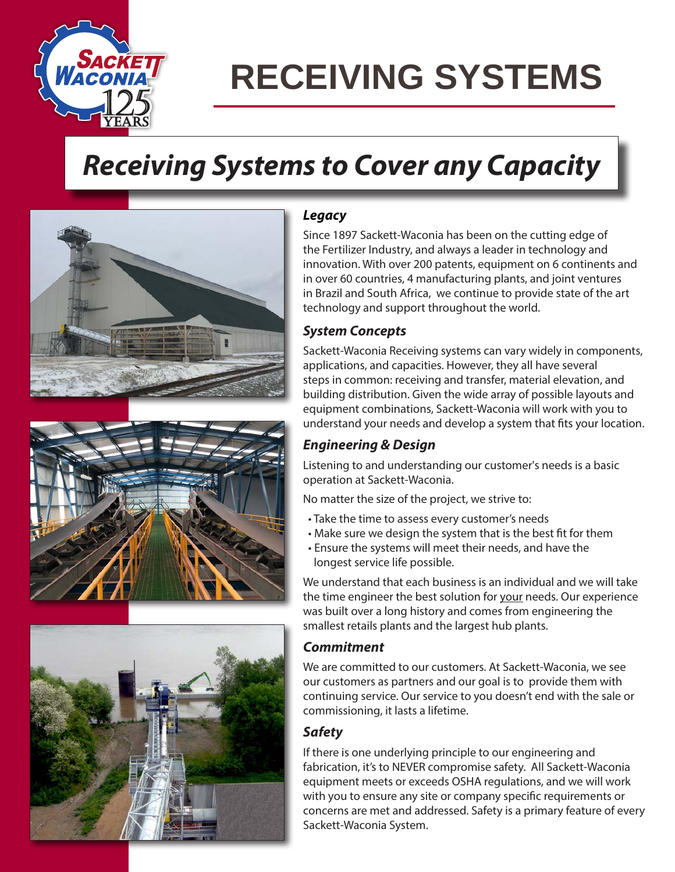

# **RECEIVING SYSTEMS**

## *Receiving Systems to Cover any Capacity*







#### *Legacy*

Since 1897 Sackett-Waconia has been on the cutting edge of the Fertilizer Industry, and always a leader in technology and innovation. With over 200 patents, equipment on 6 continents and in over 60 countries, 4 manufacturing plants, and joint ventures in Brazil and South Africa, we continue to provide state of the art technology and support throughout the world.

#### *System Concepts*

Sackett-Waconia Receiving systems can vary widely in components, applications, and capacities. However, they all have several steps in common: receiving and transfer, material elevation, and building distribution. Given the wide array of possible layouts and equipment combinations, Sackett-Waconia will work with you to understand your needs and develop a system that fits your location.

#### *Engineering & Design*

Listening to and understanding our customer's needs is a basic operation at Sackett-Waconia.

No matter the size of the project, we strive to:

- Take the time to assess every customer's needs
- Make sure we design the system that is the best fit for them
- Ensure the systems will meet their needs, and have the longest service life possible.

We understand that each business is an individual and we will take the time engineer the best solution for your needs. Our experience was built over a long history and comes from engineering the smallest retails plants and the largest hub plants.

#### *Commitment*

We are committed to our customers. At Sackett-Waconia, we see our customers as partners and our goal is to provide them with continuing service. Our service to you doesn't end with the sale or commissioning, it lasts a lifetime.

#### *Safety*

If there is one underlying principle to our engineering and fabrication, it's to NEVER compromise safety. All Sackett-Waconia equipment meets or exceeds OSHA regulations, and we will work with you to ensure any site or company specific requirements or concerns are met and addressed. Safety is a primary feature of every Sackett-Waconia System.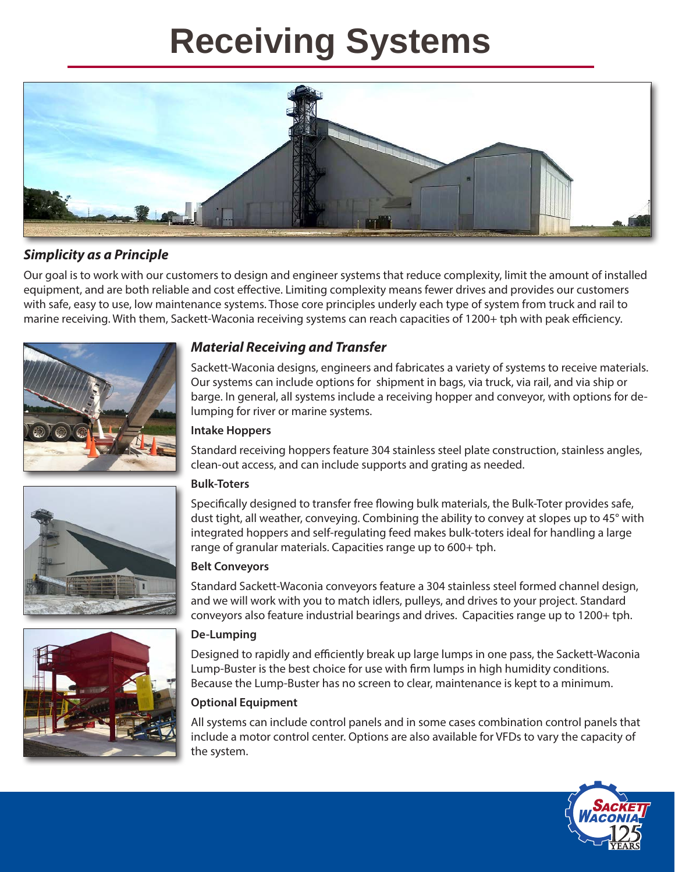## **Receiving Systems**



#### *Simplicity as a Principle*

Our goal is to work with our customers to design and engineer systems that reduce complexity, limit the amount of installed equipment, and are both reliable and cost effective. Limiting complexity means fewer drives and provides our customers with safe, easy to use, low maintenance systems. Those core principles underly each type of system from truck and rail to marine receiving. With them, Sackett-Waconia receiving systems can reach capacities of 1200+ tph with peak efficiency.



#### *Material Receiving and Transfer*

Sackett-Waconia designs, engineers and fabricates a variety of systems to receive materials. Our systems can include options for shipment in bags, via truck, via rail, and via ship or barge. In general, all systems include a receiving hopper and conveyor, with options for delumping for river or marine systems.

#### **Intake Hoppers**

Standard receiving hoppers feature 304 stainless steel plate construction, stainless angles, clean-out access, and can include supports and grating as needed.

#### **Bulk-Toters**

Specifically designed to transfer free flowing bulk materials, the Bulk-Toter provides safe, dust tight, all weather, conveying. Combining the ability to convey at slopes up to 45° with integrated hoppers and self-regulating feed makes bulk-toters ideal for handling a large range of granular materials. Capacities range up to 600+ tph.

#### **Belt Conveyors**

Standard Sackett-Waconia conveyors feature a 304 stainless steel formed channel design, and we will work with you to match idlers, pulleys, and drives to your project. Standard conveyors also feature industrial bearings and drives. Capacities range up to 1200+ tph.

#### **De-Lumping**

Designed to rapidly and efficiently break up large lumps in one pass, the Sackett-Waconia Lump-Buster is the best choice for use with firm lumps in high humidity conditions. Because the Lump-Buster has no screen to clear, maintenance is kept to a minimum.

#### **Optional Equipment**

All systems can include control panels and in some cases combination control panels that include a motor control center. Options are also available for VFDs to vary the capacity of the system.



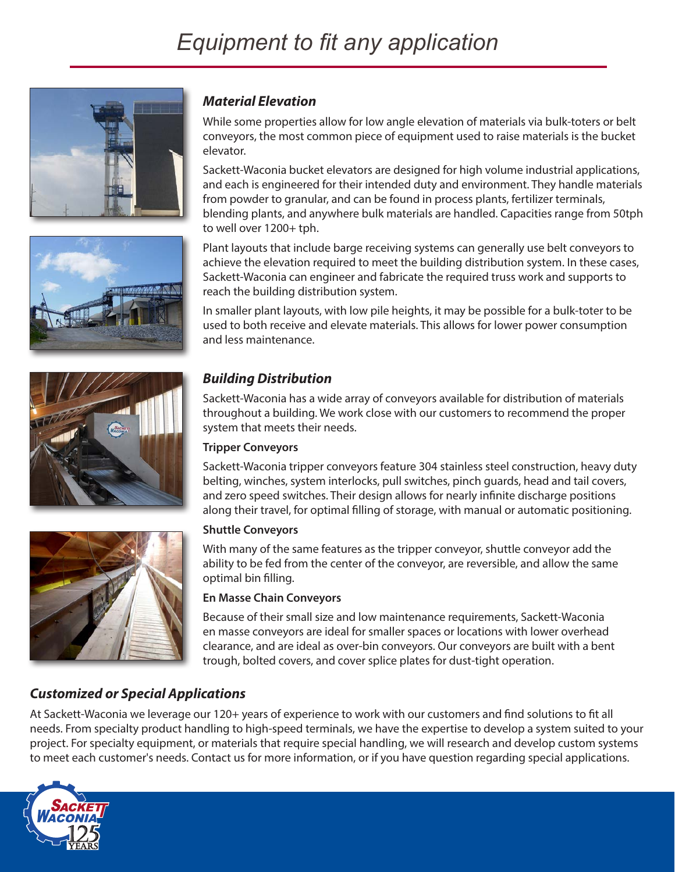







#### *Material Elevation*

While some properties allow for low angle elevation of materials via bulk-toters or belt conveyors, the most common piece of equipment used to raise materials is the bucket elevator.

Sackett-Waconia bucket elevators are designed for high volume industrial applications, and each is engineered for their intended duty and environment. They handle materials from powder to granular, and can be found in process plants, fertilizer terminals, blending plants, and anywhere bulk materials are handled. Capacities range from 50tph to well over 1200+ tph.

Plant layouts that include barge receiving systems can generally use belt conveyors to achieve the elevation required to meet the building distribution system. In these cases, Sackett-Waconia can engineer and fabricate the required truss work and supports to reach the building distribution system.

In smaller plant layouts, with low pile heights, it may be possible for a bulk-toter to be used to both receive and elevate materials. This allows for lower power consumption and less maintenance.

#### *Building Distribution*

Sackett-Waconia has a wide array of conveyors available for distribution of materials throughout a building. We work close with our customers to recommend the proper system that meets their needs.

#### **Tripper Conveyors**

Sackett-Waconia tripper conveyors feature 304 stainless steel construction, heavy duty belting, winches, system interlocks, pull switches, pinch guards, head and tail covers, and zero speed switches. Their design allows for nearly infinite discharge positions along their travel, for optimal filling of storage, with manual or automatic positioning.

#### **Shuttle Conveyors**

With many of the same features as the tripper conveyor, shuttle conveyor add the ability to be fed from the center of the conveyor, are reversible, and allow the same optimal bin filling.

#### **En Masse Chain Conveyors**

Because of their small size and low maintenance requirements, Sackett-Waconia en masse conveyors are ideal for smaller spaces or locations with lower overhead clearance, and are ideal as over-bin conveyors. Our conveyors are built with a bent trough, bolted covers, and cover splice plates for dust-tight operation.

#### *Customized or Special Applications*

At Sackett-Waconia we leverage our 120+ years of experience to work with our customers and find solutions to fit all needs. From specialty product handling to high-speed terminals, we have the expertise to develop a system suited to your project. For specialty equipment, or materials that require special handling, we will research and develop custom systems to meet each customer's needs. Contact us for more information, or if you have question regarding special applications.